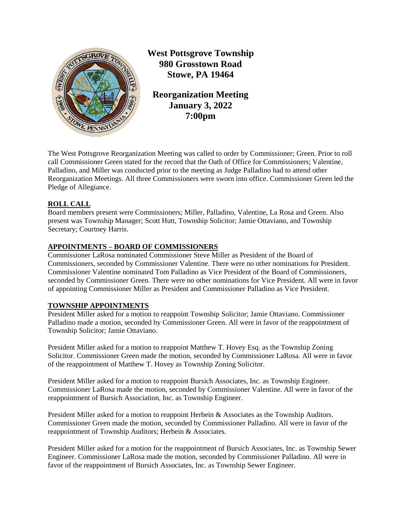

**West Pottsgrove Township 980 Grosstown Road Stowe, PA 19464**

**Reorganization Meeting January 3, 2022 7:00pm**

The West Pottsgrove Reorganization Meeting was called to order by Commissioner; Green. Prior to roll call Commissioner Green stated for the record that the Oath of Office for Commissioners; Valentine, Palladino, and Miller was conducted prior to the meeting as Judge Palladino had to attend other Reorganization Meetings. All three Commissioners were sworn into office. Commissioner Green led the Pledge of Allegiance.

# **ROLL CALL**

Board members present were Commissioners; Miller, Palladino, Valentine, La Rosa and Green. Also present was Township Manager; Scott Hutt, Township Solicitor; Jamie Ottaviano, and Township Secretary; Courtney Harris.

# **APPOINTMENTS – BOARD OF COMMISSIONERS**

Commissioner LaRosa nominated Commissioner Steve Miller as President of the Board of Commissioners, seconded by Commissioner Valentine. There were no other nominations for President. Commissioner Valentine nominated Tom Palladino as Vice President of the Board of Commissioners, seconded by Commissioner Green. There were no other nominations for Vice President. All were in favor of appointing Commissioner Miller as President and Commissioner Palladino as Vice President.

# **TOWNSHIP APPOINTMENTS**

President Miller asked for a motion to reappoint Township Solicitor; Jamie Ottaviano. Commissioner Palladino made a motion, seconded by Commissioner Green. All were in favor of the reappointment of Township Solicitor; Jamie Ottaviano.

President Miller asked for a motion to reappoint Matthew T. Hovey Esq. as the Township Zoning Solicitor. Commissioner Green made the motion, seconded by Commissioner LaRosa. All were in favor of the reappointment of Matthew T. Hovey as Township Zoning Solicitor.

President Miller asked for a motion to reappoint Bursich Associates, Inc. as Township Engineer. Commissioner LaRosa made the motion, seconded by Commissioner Valentine. All were in favor of the reappointment of Bursich Association, Inc. as Township Engineer.

President Miller asked for a motion to reappoint Herbein & Associates as the Township Auditors. Commissioner Green made the motion, seconded by Commissioner Palladino. All were in favor of the reappointment of Township Auditors; Herbein & Associates.

President Miller asked for a motion for the reappointment of Bursich Associates, Inc. as Township Sewer Engineer. Commissioner LaRosa made the motion, seconded by Commissioner Palladino. All were in favor of the reappointment of Bursich Associates, Inc. as Township Sewer Engineer.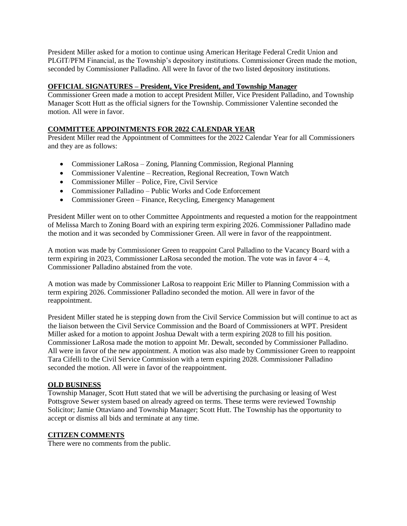President Miller asked for a motion to continue using American Heritage Federal Credit Union and PLGIT/PFM Financial, as the Township's depository institutions. Commissioner Green made the motion, seconded by Commissioner Palladino. All were In favor of the two listed depository institutions.

## **OFFICIAL SIGNATURES – President, Vice President, and Township Manager**

Commissioner Green made a motion to accept President Miller, Vice President Palladino, and Township Manager Scott Hutt as the official signers for the Township. Commissioner Valentine seconded the motion. All were in favor.

## **COMMITTEE APPOINTMENTS FOR 2022 CALENDAR YEAR**

President Miller read the Appointment of Committees for the 2022 Calendar Year for all Commissioners and they are as follows:

- Commissioner LaRosa Zoning, Planning Commission, Regional Planning
- Commissioner Valentine Recreation, Regional Recreation, Town Watch
- Commissioner Miller Police, Fire, Civil Service
- Commissioner Palladino Public Works and Code Enforcement
- Commissioner Green Finance, Recycling, Emergency Management

President Miller went on to other Committee Appointments and requested a motion for the reappointment of Melissa March to Zoning Board with an expiring term expiring 2026. Commissioner Palladino made the motion and it was seconded by Commissioner Green. All were in favor of the reappointment.

A motion was made by Commissioner Green to reappoint Carol Palladino to the Vacancy Board with a term expiring in 2023, Commissioner LaRosa seconded the motion. The vote was in favor  $4 - 4$ , Commissioner Palladino abstained from the vote.

A motion was made by Commissioner LaRosa to reappoint Eric Miller to Planning Commission with a term expiring 2026. Commissioner Palladino seconded the motion. All were in favor of the reappointment.

President Miller stated he is stepping down from the Civil Service Commission but will continue to act as the liaison between the Civil Service Commission and the Board of Commissioners at WPT. President Miller asked for a motion to appoint Joshua Dewalt with a term expiring 2028 to fill his position. Commissioner LaRosa made the motion to appoint Mr. Dewalt, seconded by Commissioner Palladino. All were in favor of the new appointment. A motion was also made by Commissioner Green to reappoint Tara Cifelli to the Civil Service Commission with a term expiring 2028. Commissioner Palladino seconded the motion. All were in favor of the reappointment.

### **OLD BUSINESS**

Township Manager, Scott Hutt stated that we will be advertising the purchasing or leasing of West Pottsgrove Sewer system based on already agreed on terms. These terms were reviewed Township Solicitor; Jamie Ottaviano and Township Manager; Scott Hutt. The Township has the opportunity to accept or dismiss all bids and terminate at any time.

### **CITIZEN COMMENTS**

There were no comments from the public.